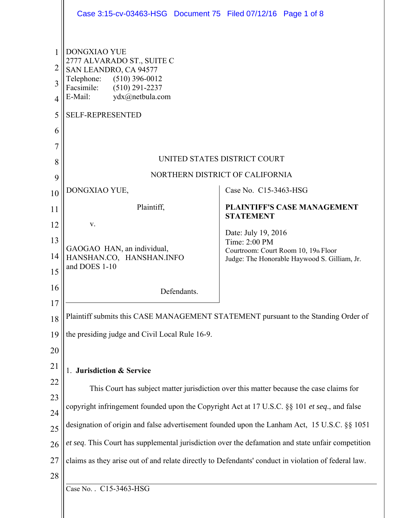|                                                           | Case 3:15-cv-03463-HSG Document 75 Filed 07/12/16 Page 1 of 8                                                                                                                                      |                                                                                                       |  |
|-----------------------------------------------------------|----------------------------------------------------------------------------------------------------------------------------------------------------------------------------------------------------|-------------------------------------------------------------------------------------------------------|--|
| 1<br>$\overline{2}$<br>3<br>$\overline{4}$<br>5<br>6<br>7 | <b>DONGXIAO YUE</b><br>2777 ALVARADO ST., SUITE C<br>SAN LEANDRO, CA 94577<br>Telephone: (510) 396-0012<br>Facsimile:<br>$(510)$ 291-2237<br>E-Mail:<br>ydx@netbula.com<br><b>SELF-REPRESENTED</b> |                                                                                                       |  |
| 8                                                         | UNITED STATES DISTRICT COURT                                                                                                                                                                       |                                                                                                       |  |
| 9                                                         | NORTHERN DISTRICT OF CALIFORNIA                                                                                                                                                                    |                                                                                                       |  |
| 10                                                        | DONGXIAO YUE,                                                                                                                                                                                      | Case No. C15-3463-HSG                                                                                 |  |
| 11                                                        | Plaintiff,                                                                                                                                                                                         | <b>PLAINTIFF'S CASE MANAGEMENT</b><br><b>STATEMENT</b>                                                |  |
| 12                                                        | V.                                                                                                                                                                                                 | Date: July 19, 2016                                                                                   |  |
| 13<br>14<br>15                                            | GAOGAO HAN, an individual,<br>HANSHAN.CO, HANSHAN.INFO<br>and DOES 1-10                                                                                                                            | Time: 2:00 PM<br>Courtroom: Court Room 10, 19th Floor<br>Judge: The Honorable Haywood S. Gilliam, Jr. |  |
| 16                                                        | Defendants.                                                                                                                                                                                        |                                                                                                       |  |
| 17                                                        | Plaintiff submits this CASE MANAGEMENT STATEMENT pursuant to the Standing Order of                                                                                                                 |                                                                                                       |  |
| 18                                                        | the presiding judge and Civil Local Rule 16-9.                                                                                                                                                     |                                                                                                       |  |
| 19                                                        |                                                                                                                                                                                                    |                                                                                                       |  |
| 20<br>21                                                  |                                                                                                                                                                                                    |                                                                                                       |  |
| 22                                                        | <b>Jurisdiction &amp; Service</b>                                                                                                                                                                  |                                                                                                       |  |
| 23                                                        | This Court has subject matter jurisdiction over this matter because the case claims for                                                                                                            |                                                                                                       |  |
| 24                                                        | copyright infringement founded upon the Copyright Act at 17 U.S.C. §§ 101 et seq., and false                                                                                                       |                                                                                                       |  |
| 25                                                        | designation of origin and false advertisement founded upon the Lanham Act, 15 U.S.C. §§ 1051                                                                                                       |                                                                                                       |  |
| 26                                                        | et seq. This Court has supplemental jurisdiction over the defamation and state unfair competition                                                                                                  |                                                                                                       |  |
| 27                                                        | claims as they arise out of and relate directly to Defendants' conduct in violation of federal law.                                                                                                |                                                                                                       |  |
| 28                                                        |                                                                                                                                                                                                    |                                                                                                       |  |
|                                                           | Case No. . C15-3463-HSG                                                                                                                                                                            |                                                                                                       |  |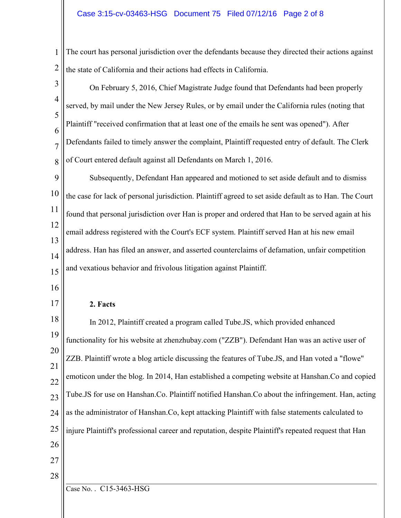## Case 3:15-cv-03463-HSG Document 75 Filed 07/12/16 Page 2 of 8

1 2 The court has personal jurisdiction over the defendants because they directed their actions against the state of California and their actions had effects in California.

| $\overline{3}$      | On February 5, 2016, Chief Magistrate Judge found that Defendants had been properly                                                                                                             |  |  |
|---------------------|-------------------------------------------------------------------------------------------------------------------------------------------------------------------------------------------------|--|--|
| $\overline{4}$      | served, by mail under the New Jersey Rules, or by email under the California rules (noting that<br>Plaintiff "received confirmation that at least one of the emails he sent was opened"). After |  |  |
| 5                   |                                                                                                                                                                                                 |  |  |
| 6<br>$\overline{7}$ | Defendants failed to timely answer the complaint, Plaintiff requested entry of default. The Clerk                                                                                               |  |  |
| 8                   | of Court entered default against all Defendants on March 1, 2016.                                                                                                                               |  |  |
| 9                   | Subsequently, Defendant Han appeared and motioned to set aside default and to dismiss                                                                                                           |  |  |
| 10                  | the case for lack of personal jurisdiction. Plaintiff agreed to set aside default as to Han. The Court                                                                                          |  |  |
| 11                  | found that personal jurisdiction over Han is proper and ordered that Han to be served again at his                                                                                              |  |  |
| 12                  | email address registered with the Court's ECF system. Plaintiff served Han at his new email                                                                                                     |  |  |
| 13<br>14            | address. Han has filed an answer, and asserted counterclaims of defamation, unfair competition                                                                                                  |  |  |
| 15                  | and vexatious behavior and frivolous litigation against Plaintiff.                                                                                                                              |  |  |
| 16                  |                                                                                                                                                                                                 |  |  |
| 17                  | 2. Facts                                                                                                                                                                                        |  |  |
| 18                  | In 2012, Plaintiff created a program called Tube.JS, which provided enhanced                                                                                                                    |  |  |
| 19                  | functionality for his website at zhenzhubay.com ("ZZB"). Defendant Han was an active user of                                                                                                    |  |  |
| 20                  | ZZB. Plaintiff wrote a blog article discussing the features of Tube.JS, and Han voted a "flowe"                                                                                                 |  |  |
| 21                  | emoticon under the blog. In 2014, Han established a competing website at Hanshan.Co and copied                                                                                                  |  |  |
| 22<br>23            | Tube.JS for use on Hanshan.Co. Plaintiff notified Hanshan.Co about the infringement. Han, acting                                                                                                |  |  |
| 24                  | as the administrator of Hanshan.Co, kept attacking Plaintiff with false statements calculated to                                                                                                |  |  |
| 25                  | injure Plaintiff's professional career and reputation, despite Plaintiff's repeated request that Han                                                                                            |  |  |
| 26                  |                                                                                                                                                                                                 |  |  |
| 27                  |                                                                                                                                                                                                 |  |  |
| 28                  | Case No. . C15-3463-HSG                                                                                                                                                                         |  |  |
|                     |                                                                                                                                                                                                 |  |  |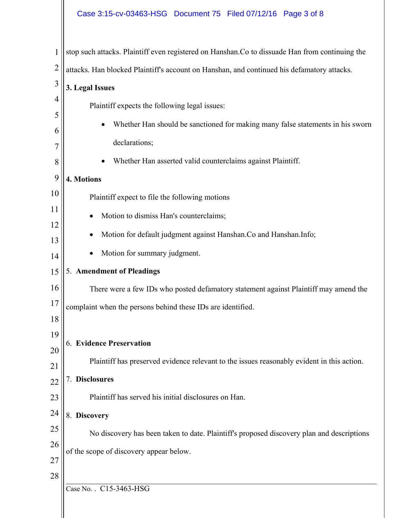## Case 3:15-cv-03463-HSG Document 75 Filed 07/12/16 Page 3 of 8

|                | stop such attacks. Plaintiff even registered on Hanshan.Co to dissuade Han from continuing the |  |  |
|----------------|------------------------------------------------------------------------------------------------|--|--|
| $\overline{2}$ | attacks. Han blocked Plaintiff's account on Hanshan, and continued his defamatory attacks.     |  |  |
| $\overline{3}$ | 3. Legal Issues                                                                                |  |  |
| 4              | Plaintiff expects the following legal issues:                                                  |  |  |
| 5              | Whether Han should be sanctioned for making many false statements in his sworn<br>$\bullet$    |  |  |
| 6              | declarations;                                                                                  |  |  |
| 7<br>8         |                                                                                                |  |  |
| 9              | Whether Han asserted valid counterclaims against Plaintiff.                                    |  |  |
|                | 4. Motions                                                                                     |  |  |
| 10             | Plaintiff expect to file the following motions                                                 |  |  |
| 11             | Motion to dismiss Han's counterclaims;                                                         |  |  |
| 12<br>13       | Motion for default judgment against Hanshan.Co and Hanshan.Info;                               |  |  |
| 14             | Motion for summary judgment.                                                                   |  |  |
| 15             | 5. Amendment of Pleadings                                                                      |  |  |
| 16             | There were a few IDs who posted defamatory statement against Plaintiff may amend the           |  |  |
| 17             | complaint when the persons behind these IDs are identified.                                    |  |  |
| 18             |                                                                                                |  |  |
| 19             |                                                                                                |  |  |
| 20             | 6. Evidence Preservation                                                                       |  |  |
| 21             | Plaintiff has preserved evidence relevant to the issues reasonably evident in this action.     |  |  |
| 22             | 7. Disclosures                                                                                 |  |  |
| 23             | Plaintiff has served his initial disclosures on Han.                                           |  |  |
| 24             | 8. Discovery                                                                                   |  |  |
| 25             | No discovery has been taken to date. Plaintiff's proposed discovery plan and descriptions      |  |  |
| 26             | of the scope of discovery appear below.                                                        |  |  |
| 27             |                                                                                                |  |  |
| 28             |                                                                                                |  |  |
|                | Case No. . C15-3463-HSG                                                                        |  |  |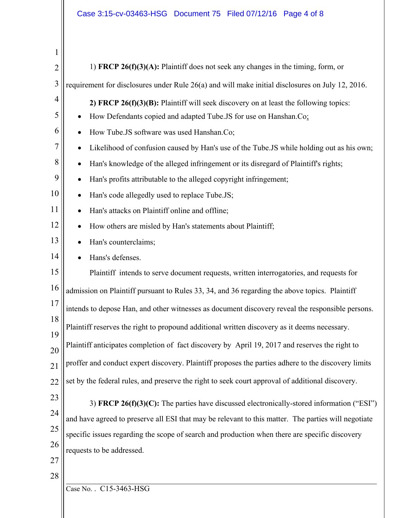| $\mathbf{1}$   |                                                                                                        |  |
|----------------|--------------------------------------------------------------------------------------------------------|--|
| $\overline{2}$ | 1) FRCP $26(f)(3)(A)$ : Plaintiff does not seek any changes in the timing, form, or                    |  |
| $\overline{3}$ | requirement for disclosures under Rule 26(a) and will make initial disclosures on July 12, 2016.       |  |
| 4              | 2) FRCP $26(f)(3)(B)$ : Plaintiff will seek discovery on at least the following topics:                |  |
| 5              | How Defendants copied and adapted Tube.JS for use on Hanshan.Co:                                       |  |
| 6              | How Tube.JS software was used Hanshan.Co;<br>٠                                                         |  |
| 7              | Likelihood of confusion caused by Han's use of the Tube. JS while holding out as his own;<br>$\bullet$ |  |
| 8              | Han's knowledge of the alleged infringement or its disregard of Plaintiff's rights;<br>$\bullet$       |  |
| 9              | Han's profits attributable to the alleged copyright infringement;<br>$\bullet$                         |  |
| 10             | Han's code allegedly used to replace Tube.JS;<br>$\bullet$                                             |  |
| 11             | Han's attacks on Plaintiff online and offline;<br>$\bullet$                                            |  |
| 12             | How others are misled by Han's statements about Plaintiff;<br>$\bullet$                                |  |
| 13             | Han's counterclaims;<br>$\bullet$                                                                      |  |
| 14             | Hans's defenses.<br>$\bullet$                                                                          |  |
| 15             | Plaintiff intends to serve document requests, written interrogatories, and requests for                |  |
| 16             | admission on Plaintiff pursuant to Rules 33, 34, and 36 regarding the above topics. Plaintiff          |  |
| 17             | intends to depose Han, and other witnesses as document discovery reveal the responsible persons.       |  |
| 18             | Plaintiff reserves the right to propound additional written discovery as it deems necessary.           |  |
| 19             | Plaintiff anticipates completion of fact discovery by April 19, 2017 and reserves the right to         |  |
| 20             |                                                                                                        |  |
| 21             | proffer and conduct expert discovery. Plaintiff proposes the parties adhere to the discovery limits    |  |
| 22             | set by the federal rules, and preserve the right to seek court approval of additional discovery.       |  |
| 23             | 3) FRCP $26(f)(3)(C)$ : The parties have discussed electronically-stored information ("ESI")           |  |
| 24             | and have agreed to preserve all ESI that may be relevant to this matter. The parties will negotiate    |  |
| 25             | specific issues regarding the scope of search and production when there are specific discovery         |  |
| 26             | requests to be addressed.                                                                              |  |
| 27             |                                                                                                        |  |
| 28             | Case No. . C15-3463-HSG                                                                                |  |
|                |                                                                                                        |  |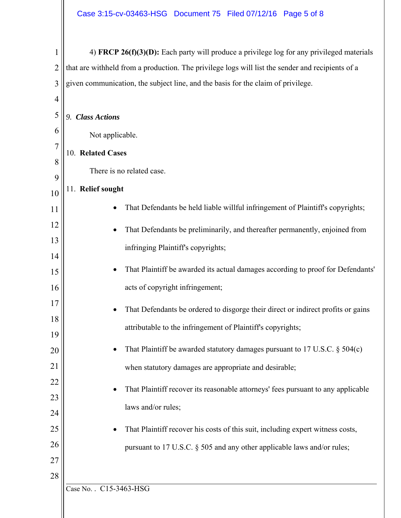| 4) FRCP $26(f)(3)(D)$ : Each party will produce a privilege log for any privileged materials<br>that are withheld from a production. The privilege logs will list the sender and recipients of a<br>given communication, the subject line, and the basis for the claim of privilege.<br><b>Class Actions</b><br>9.<br>Not applicable.<br>10. Related Cases<br>There is no related case.<br>11. Relief sought |  |
|--------------------------------------------------------------------------------------------------------------------------------------------------------------------------------------------------------------------------------------------------------------------------------------------------------------------------------------------------------------------------------------------------------------|--|
|                                                                                                                                                                                                                                                                                                                                                                                                              |  |
|                                                                                                                                                                                                                                                                                                                                                                                                              |  |
|                                                                                                                                                                                                                                                                                                                                                                                                              |  |
|                                                                                                                                                                                                                                                                                                                                                                                                              |  |
|                                                                                                                                                                                                                                                                                                                                                                                                              |  |
|                                                                                                                                                                                                                                                                                                                                                                                                              |  |
|                                                                                                                                                                                                                                                                                                                                                                                                              |  |
|                                                                                                                                                                                                                                                                                                                                                                                                              |  |
|                                                                                                                                                                                                                                                                                                                                                                                                              |  |
|                                                                                                                                                                                                                                                                                                                                                                                                              |  |
| That Defendants be held liable willful infringement of Plaintiff's copyrights;                                                                                                                                                                                                                                                                                                                               |  |
| That Defendants be preliminarily, and thereafter permanently, enjoined from                                                                                                                                                                                                                                                                                                                                  |  |
| infringing Plaintiff's copyrights;                                                                                                                                                                                                                                                                                                                                                                           |  |
|                                                                                                                                                                                                                                                                                                                                                                                                              |  |
| That Plaintiff be awarded its actual damages according to proof for Defendants'                                                                                                                                                                                                                                                                                                                              |  |
| acts of copyright infringement;                                                                                                                                                                                                                                                                                                                                                                              |  |
| That Defendants be ordered to disgorge their direct or indirect profits or gains                                                                                                                                                                                                                                                                                                                             |  |
| attributable to the infringement of Plaintiff's copyrights;                                                                                                                                                                                                                                                                                                                                                  |  |
|                                                                                                                                                                                                                                                                                                                                                                                                              |  |
| That Plaintiff be awarded statutory damages pursuant to 17 U.S.C. $\S$ 504(c)                                                                                                                                                                                                                                                                                                                                |  |
| when statutory damages are appropriate and desirable;                                                                                                                                                                                                                                                                                                                                                        |  |
| That Plaintiff recover its reasonable attorneys' fees pursuant to any applicable                                                                                                                                                                                                                                                                                                                             |  |
|                                                                                                                                                                                                                                                                                                                                                                                                              |  |
| laws and/or rules;                                                                                                                                                                                                                                                                                                                                                                                           |  |
| That Plaintiff recover his costs of this suit, including expert witness costs,                                                                                                                                                                                                                                                                                                                               |  |
| pursuant to 17 U.S.C. § 505 and any other applicable laws and/or rules;                                                                                                                                                                                                                                                                                                                                      |  |
|                                                                                                                                                                                                                                                                                                                                                                                                              |  |
|                                                                                                                                                                                                                                                                                                                                                                                                              |  |
|                                                                                                                                                                                                                                                                                                                                                                                                              |  |
|                                                                                                                                                                                                                                                                                                                                                                                                              |  |

 $\parallel$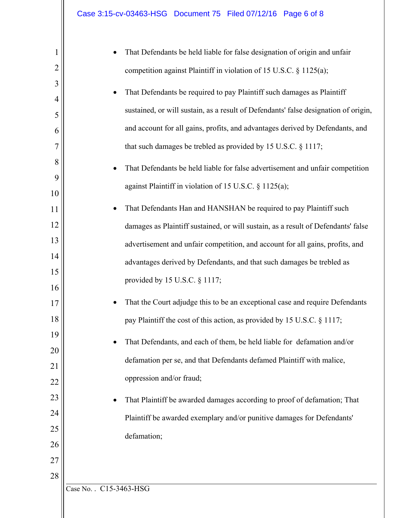| 1              | That Defendants be held liable for false designation of origin and unfair           |
|----------------|-------------------------------------------------------------------------------------|
| $\overline{2}$ | competition against Plaintiff in violation of 15 U.S.C. § 1125(a);                  |
| 3              | That Defendants be required to pay Plaintiff such damages as Plaintiff              |
| 4              |                                                                                     |
| 5              | sustained, or will sustain, as a result of Defendants' false designation of origin, |
| 6              | and account for all gains, profits, and advantages derived by Defendants, and       |
| 7              | that such damages be trebled as provided by 15 U.S.C. $\S$ 1117;                    |
| 8              | That Defendants be held liable for false advertisement and unfair competition       |
| 9              |                                                                                     |
| 10             | against Plaintiff in violation of 15 U.S.C. § 1125(a);                              |
| 11             | That Defendants Han and HANSHAN be required to pay Plaintiff such                   |
| 12             | damages as Plaintiff sustained, or will sustain, as a result of Defendants' false   |
| 13             | advertisement and unfair competition, and account for all gains, profits, and       |
| 14             | advantages derived by Defendants, and that such damages be trebled as               |
| 15             |                                                                                     |
| 16             | provided by 15 U.S.C. § 1117;                                                       |
| 17             | That the Court adjudge this to be an exceptional case and require Defendants        |
| 18             | pay Plaintiff the cost of this action, as provided by 15 U.S.C. § 1117;             |
| 19             |                                                                                     |
| 20             | That Defendants, and each of them, be held liable for defamation and/or             |
| 21             | defamation per se, and that Defendants defamed Plaintiff with malice,               |
| 22             | oppression and/or fraud;                                                            |
| 23             | That Plaintiff be awarded damages according to proof of defamation; That            |
| 24             | Plaintiff be awarded exemplary and/or punitive damages for Defendants'              |
| 25             |                                                                                     |
| 26             | defamation;                                                                         |
| 27             |                                                                                     |
| 28             |                                                                                     |
|                | Case No. . C15-3463-HSG                                                             |
|                |                                                                                     |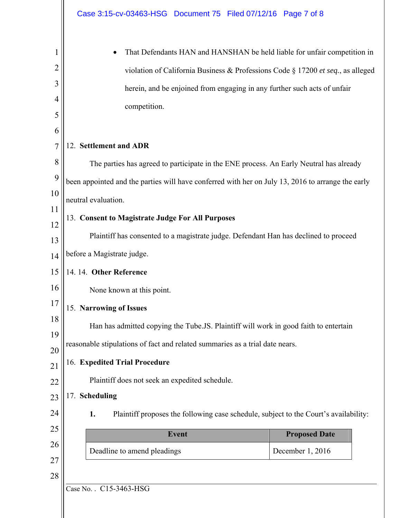|                                      | Case 3:15-cv-03463-HSG  Document 75  Filed 07/12/16  Page 7 of 8                                                                                                                                                                                                                                                                                                                             |  |  |
|--------------------------------------|----------------------------------------------------------------------------------------------------------------------------------------------------------------------------------------------------------------------------------------------------------------------------------------------------------------------------------------------------------------------------------------------|--|--|
| 1<br>2<br>3<br>4<br>5                | That Defendants HAN and HANSHAN be held liable for unfair competition in<br>violation of California Business & Professions Code § 17200 et seq., as alleged<br>herein, and be enjoined from engaging in any further such acts of unfair<br>competition.                                                                                                                                      |  |  |
| 6<br>7                               | 12. Settlement and ADR                                                                                                                                                                                                                                                                                                                                                                       |  |  |
| 8<br>9<br>10<br>11<br>12<br>13<br>14 | The parties has agreed to participate in the ENE process. An Early Neutral has already<br>been appointed and the parties will have conferred with her on July 13, 2016 to arrange the early<br>neutral evaluation.<br>13. Consent to Magistrate Judge For All Purposes<br>Plaintiff has consented to a magistrate judge. Defendant Han has declined to proceed<br>before a Magistrate judge. |  |  |
| 15<br>16<br>17                       | 14. 14. Other Reference<br>None known at this point.<br>15. Narrowing of Issues                                                                                                                                                                                                                                                                                                              |  |  |
| 18<br>19<br>20                       | Han has admitted copying the Tube.JS. Plaintiff will work in good faith to entertain<br>reasonable stipulations of fact and related summaries as a trial date nears.<br>16. Expedited Trial Procedure                                                                                                                                                                                        |  |  |
| 21<br>22<br>23<br>24                 | Plaintiff does not seek an expedited schedule.<br>17. Scheduling<br>Plaintiff proposes the following case schedule, subject to the Court's availability:<br>1.                                                                                                                                                                                                                               |  |  |
| 25                                   | <b>Event</b><br><b>Proposed Date</b>                                                                                                                                                                                                                                                                                                                                                         |  |  |
| 26<br>27                             | Deadline to amend pleadings<br>December 1, 2016                                                                                                                                                                                                                                                                                                                                              |  |  |
| 28                                   | Case No. . C15-3463-HSG                                                                                                                                                                                                                                                                                                                                                                      |  |  |